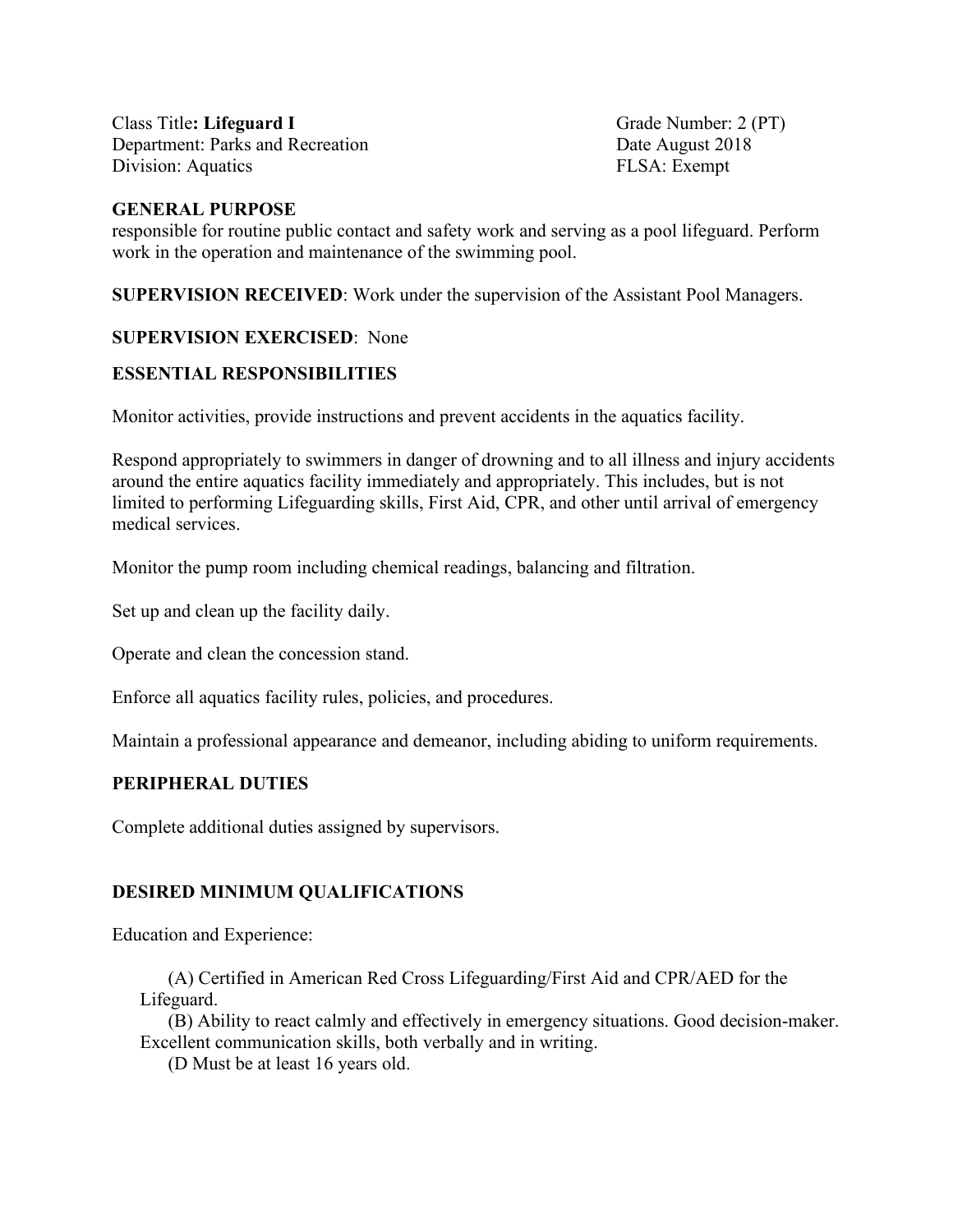Class Title: Lifeguard I Grade Number: 2 (PT) Department: Parks and Recreation Date August 2018 Division: Aquatics FLSA: Exempt

### **GENERAL PURPOSE**

responsible for routine public contact and safety work and serving as a pool lifeguard. Perform work in the operation and maintenance of the swimming pool.

**SUPERVISION RECEIVED**: Work under the supervision of the Assistant Pool Managers.

# **SUPERVISION EXERCISED**: None

# **ESSENTIAL RESPONSIBILITIES**

Monitor activities, provide instructions and prevent accidents in the aquatics facility.

Respond appropriately to swimmers in danger of drowning and to all illness and injury accidents around the entire aquatics facility immediately and appropriately. This includes, but is not limited to performing Lifeguarding skills, First Aid, CPR, and other until arrival of emergency medical services.

Monitor the pump room including chemical readings, balancing and filtration.

Set up and clean up the facility daily.

Operate and clean the concession stand.

Enforce all aquatics facility rules, policies, and procedures.

Maintain a professional appearance and demeanor, including abiding to uniform requirements.

## **PERIPHERAL DUTIES**

Complete additional duties assigned by supervisors.

## **DESIRED MINIMUM QUALIFICATIONS**

Education and Experience:

(A) Certified in American Red Cross Lifeguarding/First Aid and CPR/AED for the Lifeguard.

(B) Ability to react calmly and effectively in emergency situations. Good decision-maker. Excellent communication skills, both verbally and in writing.

(D Must be at least 16 years old.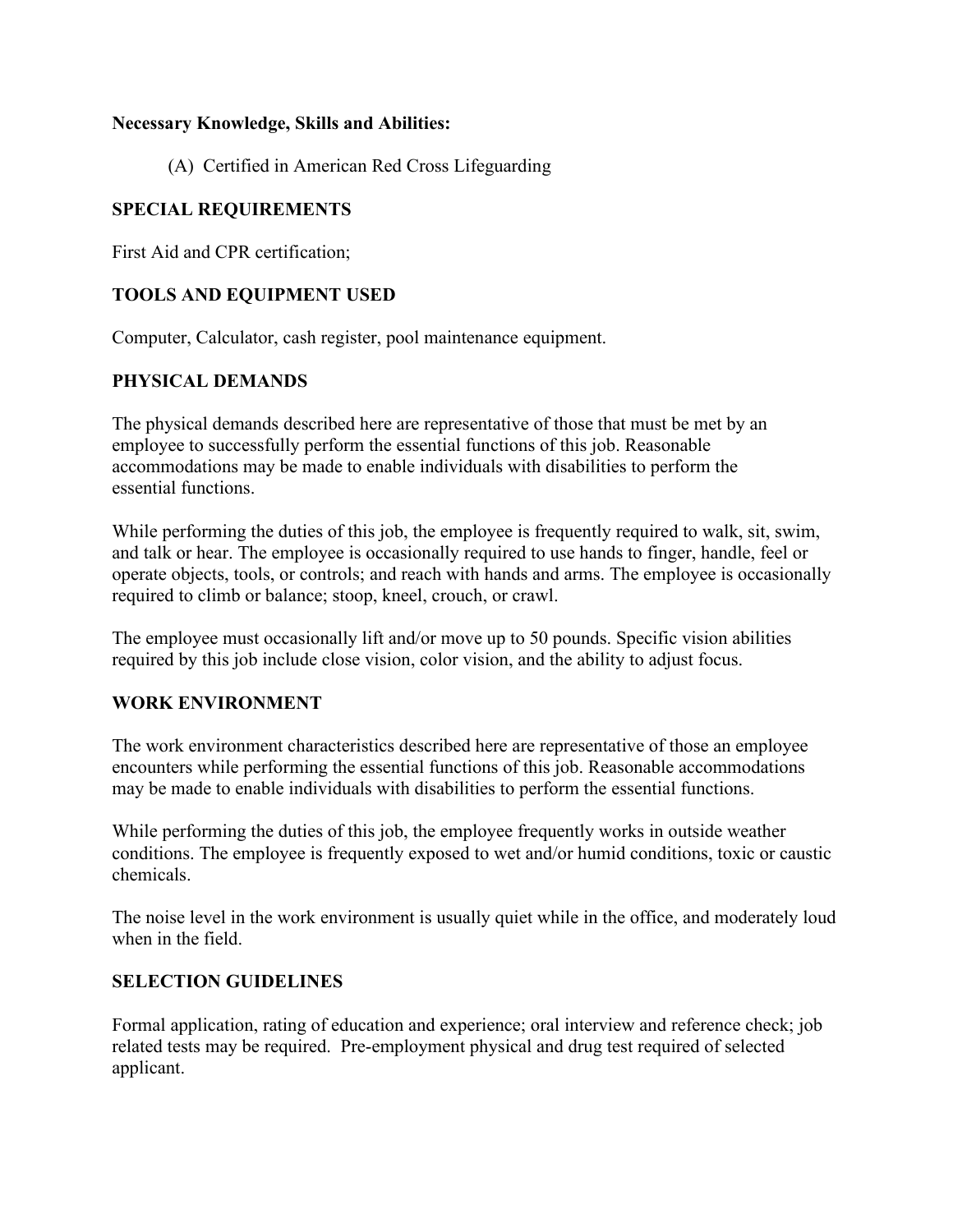### **Necessary Knowledge, Skills and Abilities:**

(A) Certified in American Red Cross Lifeguarding

# **SPECIAL REQUIREMENTS**

First Aid and CPR certification;

## **TOOLS AND EQUIPMENT USED**

Computer, Calculator, cash register, pool maintenance equipment.

# **PHYSICAL DEMANDS**

The physical demands described here are representative of those that must be met by an employee to successfully perform the essential functions of this job. Reasonable accommodations may be made to enable individuals with disabilities to perform the essential functions.

While performing the duties of this job, the employee is frequently required to walk, sit, swim, and talk or hear. The employee is occasionally required to use hands to finger, handle, feel or operate objects, tools, or controls; and reach with hands and arms. The employee is occasionally required to climb or balance; stoop, kneel, crouch, or crawl.

The employee must occasionally lift and/or move up to 50 pounds. Specific vision abilities required by this job include close vision, color vision, and the ability to adjust focus.

## **WORK ENVIRONMENT**

The work environment characteristics described here are representative of those an employee encounters while performing the essential functions of this job. Reasonable accommodations may be made to enable individuals with disabilities to perform the essential functions.

While performing the duties of this job, the employee frequently works in outside weather conditions. The employee is frequently exposed to wet and/or humid conditions, toxic or caustic chemicals.

The noise level in the work environment is usually quiet while in the office, and moderately loud when in the field.

## **SELECTION GUIDELINES**

Formal application, rating of education and experience; oral interview and reference check; job related tests may be required. Pre-employment physical and drug test required of selected applicant.